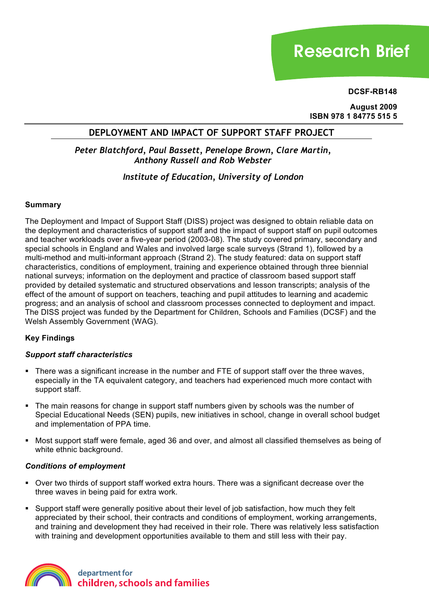# **Research Brief**

**DCSF-RB148**

**August 2009 ISBN 978 1 84775 515 5**

# **DEPLOYMENT AND IMPACT OF SUPPORT STAFF PROJECT**

# *Peter Blatchford, Paul Bassett, Penelope Brown, Clare Martin, Anthony Russell and Rob Webster*

# *Institute of Education, University of London*

## **Summary**

The Deployment and Impact of Support Staff (DISS) project was designed to obtain reliable data on the deployment and characteristics of support staff and the impact of support staff on pupil outcomes and teacher workloads over a five-year period (2003-08). The study covered primary, secondary and special schools in England and Wales and involved large scale surveys (Strand 1), followed by a multi-method and multi-informant approach (Strand 2). The study featured: data on support staff characteristics, conditions of employment, training and experience obtained through three biennial national surveys; information on the deployment and practice of classroom based support staff provided by detailed systematic and structured observations and lesson transcripts; analysis of the effect of the amount of support on teachers, teaching and pupil attitudes to learning and academic progress; and an analysis of school and classroom processes connected to deployment and impact. The DISS project was funded by the Department for Children, Schools and Families (DCSF) and the Welsh Assembly Government (WAG).

# **Key Findings**

## *Support staff characteristics*

- ! There was a significant increase in the number and FTE of support staff over the three waves, especially in the TA equivalent category, and teachers had experienced much more contact with support staff.
- ! The main reasons for change in support staff numbers given by schools was the number of Special Educational Needs (SEN) pupils, new initiatives in school, change in overall school budget and implementation of PPA time.
- ! Most support staff were female, aged 36 and over, and almost all classified themselves as being of white ethnic background.

## *Conditions of employment*

- ! Over two thirds of support staff worked extra hours. There was a significant decrease over the three waves in being paid for extra work.
- ! Support staff were generally positive about their level of job satisfaction, how much they felt appreciated by their school, their contracts and conditions of employment, working arrangements, and training and development they had received in their role. There was relatively less satisfaction with training and development opportunities available to them and still less with their pay.

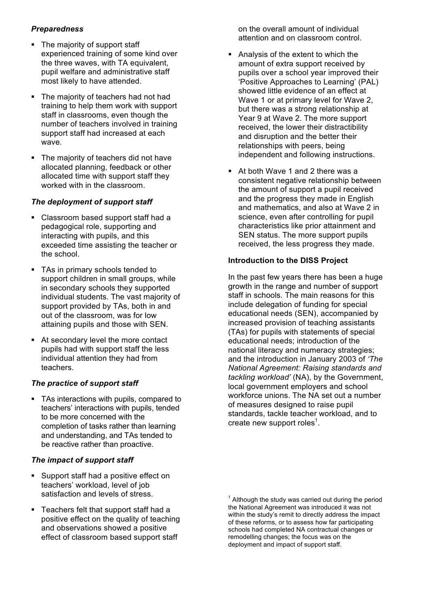# *Preparedness*

- The majority of support staff experienced training of some kind over the three waves, with TA equivalent, pupil welfare and administrative staff most likely to have attended.
- ! The majority of teachers had not had training to help them work with support staff in classrooms, even though the number of teachers involved in training support staff had increased at each wave.
- ! The majority of teachers did not have allocated planning, feedback or other allocated time with support staff they worked with in the classroom.

## *The deployment of support staff*

- ! Classroom based support staff had a pedagogical role, supporting and interacting with pupils, and this exceeded time assisting the teacher or the school.
- TAs in primary schools tended to support children in small groups, while in secondary schools they supported individual students. The vast majority of support provided by TAs, both in and out of the classroom, was for low attaining pupils and those with SEN.
- ! At secondary level the more contact pupils had with support staff the less individual attention they had from teachers.

## *The practice of support staff*

! TAs interactions with pupils, compared to teachers' interactions with pupils, tended to be more concerned with the completion of tasks rather than learning and understanding, and TAs tended to be reactive rather than proactive.

## *The impact of support staff*

- ! Support staff had a positive effect on teachers' workload, level of job satisfaction and levels of stress.
- Teachers felt that support staff had a positive effect on the quality of teaching and observations showed a positive effect of classroom based support staff

on the overall amount of individual attention and on classroom control.

- ! Analysis of the extent to which the amount of extra support received by pupils over a school year improved their 'Positive Approaches to Learning' (PAL) showed little evidence of an effect at Wave 1 or at primary level for Wave 2, but there was a strong relationship at Year 9 at Wave 2. The more support received, the lower their distractibility and disruption and the better their relationships with peers, being independent and following instructions.
- ! At both Wave 1 and 2 there was a consistent negative relationship between the amount of support a pupil received and the progress they made in English and mathematics, and also at Wave 2 in science, even after controlling for pupil characteristics like prior attainment and SEN status. The more support pupils received, the less progress they made.

## **Introduction to the DISS Project**

In the past few years there has been a huge growth in the range and number of support staff in schools. The main reasons for this include delegation of funding for special educational needs (SEN), accompanied by increased provision of teaching assistants (TAs) for pupils with statements of special educational needs; introduction of the national literacy and numeracy strategies; and the introduction in January 2003 of *'The National Agreement: Raising standards and tackling workload'* (NA), by the Government, local government employers and school workforce unions. The NA set out a number of measures designed to raise pupil standards, tackle teacher workload, and to create new support roles<sup>1</sup>.

 $1$  Although the study was carried out during the period the National Agreement was introduced it was not within the study's remit to directly address the impact of these reforms, or to assess how far participating schools had completed NA contractual changes or remodelling changes; the focus was on the deployment and impact of support staff.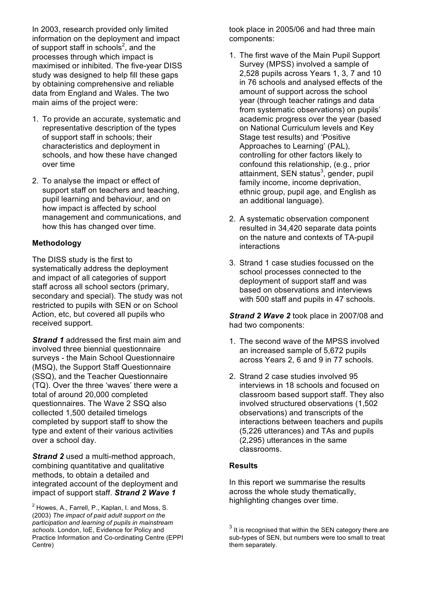In 2003, research provided only limited information on the deployment and impact of support staff in schools $2$ , and the processes through which impact is maximised or inhibited. The five-year DISS study was designed to help fill these gaps by obtaining comprehensive and reliable data from England and Wales. The two main aims of the project were:

- 1. To provide an accurate, systematic and representative description of the types of support staff in schools; their characteristics and deployment in schools, and how these have changed over time
- 2. To analyse the impact or effect of support staff on teachers and teaching, pupil learning and behaviour, and on how impact is affected by school management and communications, and how this has changed over time.

## **Methodology**

The DISS study is the first to systematically address the deployment and impact of all categories of support staff across all school sectors (primary, secondary and special). The study was not restricted to pupils with SEN or on School Action, etc, but covered all pupils who received support.

*Strand 1* addressed the first main aim and involved three biennial questionnaire surveys - the Main School Questionnaire (MSQ), the Support Staff Questionnaire (SSQ), and the Teacher Questionnaire (TQ). Over the three 'waves' there were a total of around 20,000 completed questionnaires. The Wave 2 SSQ also collected 1,500 detailed timelogs completed by support staff to show the type and extent of their various activities over a school day.

*Strand 2* used a multi-method approach, combining quantitative and qualitative methods, to obtain a detailed and integrated account of the deployment and impact of support staff. *Strand 2 Wave 1*

 $2$  Howes, A., Farrell, P., Kaplan, I. and Moss, S. (2003) *The impact of paid adult support on the participation and learning of pupils in mainstream schools*. London, IoE, Evidence for Policy and Practice Information and Co-ordinating Centre (EPPI Centre)

took place in 2005/06 and had three main components:

- 1. The first wave of the Main Pupil Support Survey (MPSS) involved a sample of 2,528 pupils across Years 1, 3, 7 and 10 in 76 schools and analysed effects of the amount of support across the school year (through teacher ratings and data from systematic observations) on pupils' academic progress over the year (based on National Curriculum levels and Key Stage test results) and 'Positive Approaches to Learning' (PAL), controlling for other factors likely to confound this relationship, (e.g., prior attainment, SEN status<sup>3</sup>, gender, pupil family income, income deprivation, ethnic group, pupil age, and English as an additional language).
- 2. A systematic observation component resulted in 34,420 separate data points on the nature and contexts of TA-pupil interactions
- 3. Strand 1 case studies focussed on the school processes connected to the deployment of support staff and was based on observations and interviews with 500 staff and pupils in 47 schools.

*Strand 2 Wave 2* took place in 2007/08 and had two components:

- 1. The second wave of the MPSS involved an increased sample of 5,672 pupils across Years 2, 6 and 9 in 77 schools.
- 2. Strand 2 case studies involved 95 interviews in 18 schools and focused on classroom based support staff. They also involved structured observations (1,502 observations) and transcripts of the interactions between teachers and pupils (5,226 utterances) and TAs and pupils (2,295) utterances in the same classrooms.

## **Results**

In this report we summarise the results across the whole study thematically, highlighting changes over time.

 $3$  It is recognised that within the SEN category there are sub-types of SEN, but numbers were too small to treat them separately.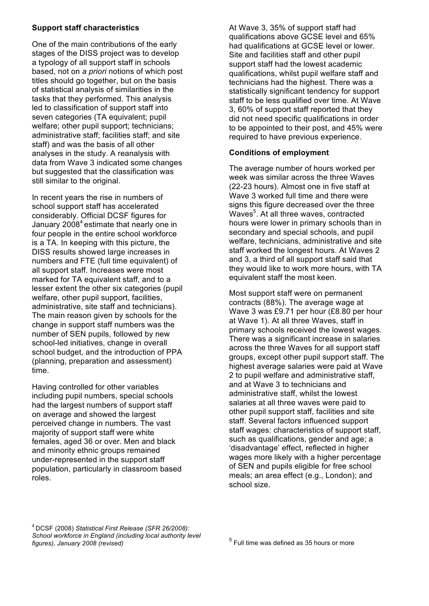## **Support staff characteristics**

One of the main contributions of the early stages of the DISS project was to develop a typology of all support staff in schools based, not on *a priori* notions of which post titles should go together, but on the basis of statistical analysis of similarities in the tasks that they performed. This analysis led to classification of support staff into seven categories (TA equivalent; pupil welfare; other pupil support; technicians; administrative staff; facilities staff; and site staff) and was the basis of all other analyses in the study. A reanalysis with data from Wave 3 indicated some changes but suggested that the classification was still similar to the original.

In recent years the rise in numbers of school support staff has accelerated considerably. Official DCSF figures for January  $2008<sup>4</sup>$  estimate that nearly one in four people in the entire school workforce is a TA. In keeping with this picture, the DISS results showed large increases in numbers and FTE (full time equivalent) of all support staff. Increases were most marked for TA equivalent staff, and to a lesser extent the other six categories (pupil welfare, other pupil support, facilities, administrative, site staff and technicians). The main reason given by schools for the change in support staff numbers was the number of SEN pupils, followed by new school-led initiatives, change in overall school budget, and the introduction of PPA (planning, preparation and assessment) time.

Having controlled for other variables including pupil numbers, special schools had the largest numbers of support staff on average and showed the largest perceived change in numbers. The vast majority of support staff were white females, aged 36 or over. Men and black and minority ethnic groups remained under-represented in the support staff population, particularly in classroom based roles.

At Wave 3, 35% of support staff had qualifications above GCSE level and 65% had qualifications at GCSE level or lower. Site and facilities staff and other pupil support staff had the lowest academic qualifications, whilst pupil welfare staff and technicians had the highest. There was a statistically significant tendency for support staff to be less qualified over time. At Wave 3, 60% of support staff reported that they did not need specific qualifications in order to be appointed to their post, and 45% were required to have previous experience.

## **Conditions of employment**

The average number of hours worked per week was similar across the three Waves (22-23 hours). Almost one in five staff at Wave 3 worked full time and there were signs this figure decreased over the three Waves<sup>5</sup>. At all three waves, contracted hours were lower in primary schools than in secondary and special schools, and pupil welfare, technicians, administrative and site staff worked the longest hours. At Waves 2 and 3, a third of all support staff said that they would like to work more hours, with TA equivalent staff the most keen.

Most support staff were on permanent contracts (88%). The average wage at Wave 3 was £9.71 per hour (£8.80 per hour at Wave 1). At all three Waves, staff in primary schools received the lowest wages. There was a significant increase in salaries across the three Waves for all support staff groups, except other pupil support staff. The highest average salaries were paid at Wave 2 to pupil welfare and administrative staff, and at Wave 3 to technicians and administrative staff, whilst the lowest salaries at all three waves were paid to other pupil support staff, facilities and site staff. Several factors influenced support staff wages: characteristics of support staff, such as qualifications, gender and age; a 'disadvantage' effect, reflected in higher wages more likely with a higher percentage of SEN and pupils eligible for free school meals; an area effect (e.g., London); and school size.

4 DCSF (2008) *Statistical First Release (SFR 26/2008): School workforce in England (including local authority level figures), January 2008 (revised)*

 $<sup>5</sup>$  Full time was defined as 35 hours or more</sup>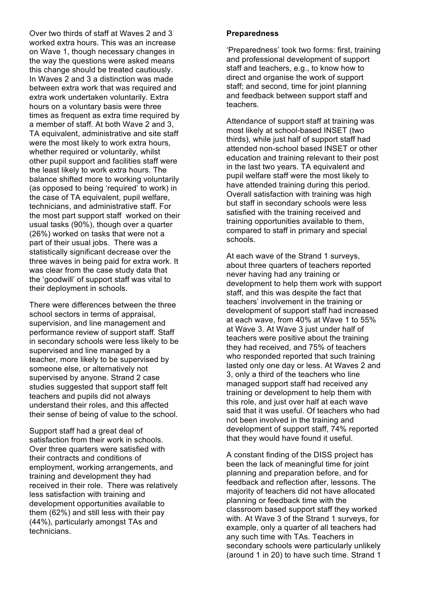Over two thirds of staff at Waves 2 and 3 worked extra hours. This was an increase on Wave 1, though necessary changes in the way the questions were asked means this change should be treated cautiously. In Waves 2 and 3 a distinction was made between extra work that was required and extra work undertaken voluntarily. Extra hours on a voluntary basis were three times as frequent as extra time required by a member of staff. At both Wave 2 and 3, TA equivalent, administrative and site staff were the most likely to work extra hours, whether required or voluntarily, whilst other pupil support and facilities staff were the least likely to work extra hours. The balance shifted more to working voluntarily (as opposed to being 'required' to work) in the case of TA equivalent, pupil welfare, technicians, and administrative staff. For the most part support staff worked on their usual tasks (90%), though over a quarter (26%) worked on tasks that were not a part of their usual jobs. There was a statistically significant decrease over the three waves in being paid for extra work. It was clear from the case study data that the 'goodwill' of support staff was vital to their deployment in schools.

There were differences between the three school sectors in terms of appraisal, supervision, and line management and performance review of support staff. Staff in secondary schools were less likely to be supervised and line managed by a teacher, more likely to be supervised by someone else, or alternatively not supervised by anyone. Strand 2 case studies suggested that support staff felt teachers and pupils did not always understand their roles, and this affected their sense of being of value to the school.

Support staff had a great deal of satisfaction from their work in schools. Over three quarters were satisfied with their contracts and conditions of employment, working arrangements, and training and development they had received in their role. There was relatively less satisfaction with training and development opportunities available to them (62%) and still less with their pay (44%), particularly amongst TAs and technicians.

#### **Preparedness**

'Preparedness' took two forms: first, training and professional development of support staff and teachers, e.g., to know how to direct and organise the work of support staff; and second, time for joint planning and feedback between support staff and teachers.

Attendance of support staff at training was most likely at school-based INSET (two thirds), while just half of support staff had attended non-school based INSET or other education and training relevant to their post in the last two years. TA equivalent and pupil welfare staff were the most likely to have attended training during this period. Overall satisfaction with training was high but staff in secondary schools were less satisfied with the training received and training opportunities available to them, compared to staff in primary and special schools.

At each wave of the Strand 1 surveys, about three quarters of teachers reported never having had any training or development to help them work with support staff, and this was despite the fact that teachers' involvement in the training or development of support staff had increased at each wave, from 40% at Wave 1 to 55% at Wave 3. At Wave 3 just under half of teachers were positive about the training they had received, and 75% of teachers who responded reported that such training lasted only one day or less. At Waves 2 and 3, only a third of the teachers who line managed support staff had received any training or development to help them with this role, and just over half at each wave said that it was useful. Of teachers who had not been involved in the training and development of support staff, 74% reported that they would have found it useful.

A constant finding of the DISS project has been the lack of meaningful time for joint planning and preparation before, and for feedback and reflection after, lessons. The majority of teachers did not have allocated planning or feedback time with the classroom based support staff they worked with. At Wave 3 of the Strand 1 surveys, for example, only a quarter of all teachers had any such time with TAs. Teachers in secondary schools were particularly unlikely (around 1 in 20) to have such time. Strand 1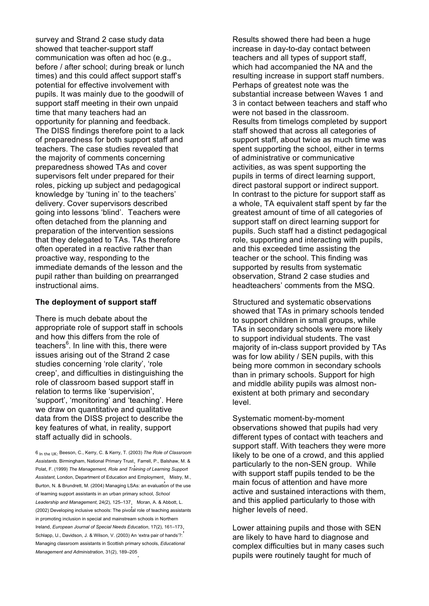survey and Strand 2 case study data showed that teacher-support staff communication was often ad hoc (e.g., before / after school; during break or lunch times) and this could affect support staff's potential for effective involvement with pupils. It was mainly due to the goodwill of support staff meeting in their own unpaid time that many teachers had an opportunity for planning and feedback. The DISS findings therefore point to a lack of preparedness for both support staff and teachers. The case studies revealed that the majority of comments concerning preparedness showed TAs and cover supervisors felt under prepared for their roles, picking up subject and pedagogical knowledge by 'tuning in' to the teachers' delivery. Cover supervisors described going into lessons 'blind'. Teachers were often detached from the planning and preparation of the intervention sessions that they delegated to TAs. TAs therefore often operated in a reactive rather than proactive way, responding to the immediate demands of the lesson and the pupil rather than building on prearranged instructional aims.

#### **The deployment of support staff**

There is much debate about the appropriate role of support staff in schools and how this differs from the role of teachers<sup>6</sup>. In line with this, there were issues arising out of the Strand 2 case studies concerning 'role clarity', 'role creep', and difficulties in distinguishing the role of classroom based support staff in relation to terms like 'supervision', 'support', 'monitoring' and 'teaching'. Here we draw on quantitative and qualitative data from the DISS project to describe the key features of what, in reality, support staff actually did in schools.

6 In the UK: Beeson, C., Kerry, C. & Kerry, T. (2003) *The Role of Classroom Assistants*. Birmingham, National Primary Trust; Farrell, P., Balshaw, M. & Polat, F. (1999) *The Management, Role and Training of Learning Support Assistant*, London, Department of Education and Employment; Mistry, M., Burton, N. & Brundrett, M. (2004) Managing LSAs: an evaluation of the use of learning support assistants in an urban primary school, *School Leadership and Management*, 24(2), 125–137; Moran, A. & Abbott, L. (2002) Developing inclusive schools: The pivotal role of teaching assistants in promoting inclusion in special and mainstream schools in Northern Ireland, *European Journal of Special Needs Education*, 17(2), 161–173; Schlapp, U., Davidson, J. & Wilson, V. (2003) An 'extra pair of hands'?: Managing classroom assistants in Scottish primary schools, *Educational Management and Administration*, 31(2), 189–205.

Results showed there had been a huge increase in day-to-day contact between teachers and all types of support staff, which had accompanied the NA and the resulting increase in support staff numbers. Perhaps of greatest note was the substantial increase between Waves 1 and 3 in contact between teachers and staff who were not based in the classroom. Results from timelogs completed by support staff showed that across all categories of support staff, about twice as much time was spent supporting the school, either in terms of administrative or communicative activities, as was spent supporting the pupils in terms of direct learning support, direct pastoral support or indirect support. In contrast to the picture for support staff as a whole, TA equivalent staff spent by far the greatest amount of time of all categories of support staff on direct learning support for pupils. Such staff had a distinct pedagogical role, supporting and interacting with pupils, and this exceeded time assisting the teacher or the school. This finding was supported by results from systematic observation, Strand 2 case studies and headteachers' comments from the MSQ.

Structured and systematic observations showed that TAs in primary schools tended to support children in small groups, while TAs in secondary schools were more likely to support individual students. The vast majority of in-class support provided by TAs was for low ability / SEN pupils, with this being more common in secondary schools than in primary schools. Support for high and middle ability pupils was almost nonexistent at both primary and secondary level.

Systematic moment-by-moment observations showed that pupils had very different types of contact with teachers and support staff. With teachers they were more likely to be one of a crowd, and this applied particularly to the non-SEN group. While with support staff pupils tended to be the main focus of attention and have more active and sustained interactions with them, and this applied particularly to those with higher levels of need.

Lower attaining pupils and those with SEN are likely to have hard to diagnose and complex difficulties but in many cases such pupils were routinely taught for much of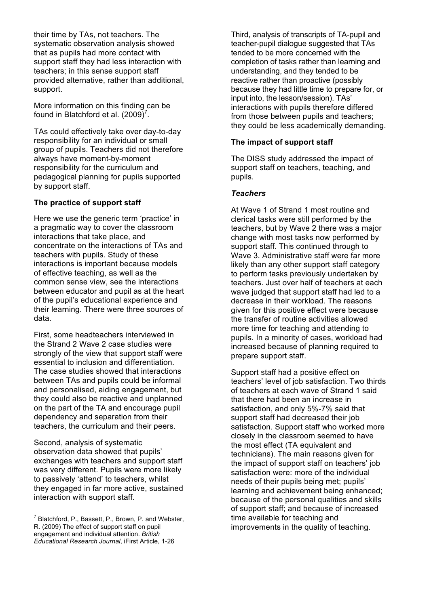their time by TAs, not teachers. The systematic observation analysis showed that as pupils had more contact with support staff they had less interaction with teachers; in this sense support staff provided alternative, rather than additional, support.

More information on this finding can be found in Blatchford et al.  $(2009)^7$ .

TAs could effectively take over day-to-day responsibility for an individual or small group of pupils. Teachers did not therefore always have moment-by-moment responsibility for the curriculum and pedagogical planning for pupils supported by support staff.

### **The practice of support staff**

Here we use the generic term 'practice' in a pragmatic way to cover the classroom interactions that take place, and concentrate on the interactions of TAs and teachers with pupils. Study of these interactions is important because models of effective teaching, as well as the common sense view, see the interactions between educator and pupil as at the heart of the pupil's educational experience and their learning. There were three sources of data.

First, some headteachers interviewed in the Strand 2 Wave 2 case studies were strongly of the view that support staff were essential to inclusion and differentiation. The case studies showed that interactions between TAs and pupils could be informal and personalised, aiding engagement, but they could also be reactive and unplanned on the part of the TA and encourage pupil dependency and separation from their teachers, the curriculum and their peers.

Second, analysis of systematic observation data showed that pupils' exchanges with teachers and support staff was very different. Pupils were more likely to passively 'attend' to teachers, whilst they engaged in far more active, sustained interaction with support staff.

 $^7$  Blatchford, P., Bassett, P., Brown, P. and Webster, R. (2009) The effect of support staff on pupil engagement and individual attention. *British Educational Research Journal*, iFirst Article, 1-26

Third, analysis of transcripts of TA-pupil and teacher-pupil dialogue suggested that TAs tended to be more concerned with the completion of tasks rather than learning and understanding, and they tended to be reactive rather than proactive (possibly because they had little time to prepare for, or input into, the lesson/session). TAs' interactions with pupils therefore differed from those between pupils and teachers; they could be less academically demanding.

#### **The impact of support staff**

The DISS study addressed the impact of support staff on teachers, teaching, and pupils.

#### *Teachers*

At Wave 1 of Strand 1 most routine and clerical tasks were still performed by the teachers, but by Wave 2 there was a major change with most tasks now performed by support staff. This continued through to Wave 3. Administrative staff were far more likely than any other support staff category to perform tasks previously undertaken by teachers. Just over half of teachers at each wave judged that support staff had led to a decrease in their workload. The reasons given for this positive effect were because the transfer of routine activities allowed more time for teaching and attending to pupils. In a minority of cases, workload had increased because of planning required to prepare support staff.

Support staff had a positive effect on teachers' level of job satisfaction. Two thirds of teachers at each wave of Strand 1 said that there had been an increase in satisfaction, and only 5%-7% said that support staff had decreased their job satisfaction. Support staff who worked more closely in the classroom seemed to have the most effect (TA equivalent and technicians). The main reasons given for the impact of support staff on teachers' job satisfaction were: more of the individual needs of their pupils being met; pupils' learning and achievement being enhanced; because of the personal qualities and skills of support staff; and because of increased time available for teaching and improvements in the quality of teaching.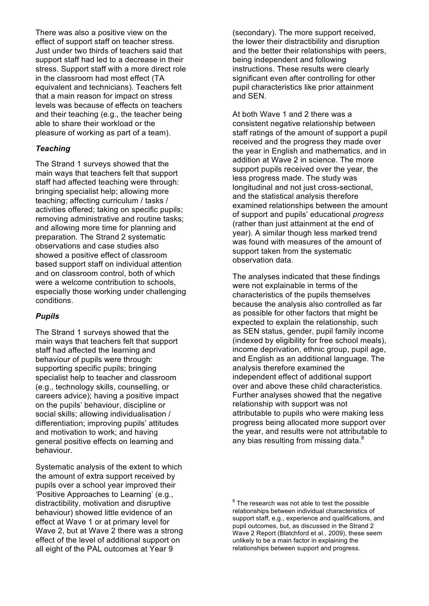There was also a positive view on the effect of support staff on teacher stress. Just under two thirds of teachers said that support staff had led to a decrease in their stress. Support staff with a more direct role in the classroom had most effect (TA equivalent and technicians). Teachers felt that a main reason for impact on stress levels was because of effects on teachers and their teaching (e.g., the teacher being able to share their workload or the pleasure of working as part of a team).

### *Teaching*

The Strand 1 surveys showed that the main ways that teachers felt that support staff had affected teaching were through: bringing specialist help; allowing more teaching; affecting curriculum / tasks / activities offered; taking on specific pupils; removing administrative and routine tasks; and allowing more time for planning and preparation. The Strand 2 systematic observations and case studies also showed a positive effect of classroom based support staff on individual attention and on classroom control, both of which were a welcome contribution to schools, especially those working under challenging conditions.

#### *Pupils*

The Strand 1 surveys showed that the main ways that teachers felt that support staff had affected the learning and behaviour of pupils were through: supporting specific pupils; bringing specialist help to teacher and classroom (e.g., technology skills, counselling, or careers advice); having a positive impact on the pupils' behaviour, discipline or social skills; allowing individualisation / differentiation; improving pupils' attitudes and motivation to work; and having general positive effects on learning and behaviour.

Systematic analysis of the extent to which the amount of extra support received by pupils over a school year improved their 'Positive Approaches to Learning' (e.g., distractibility, motivation and disruptive behaviour) showed little evidence of an effect at Wave 1 or at primary level for Wave 2, but at Wave 2 there was a strong effect of the level of additional support on all eight of the PAL outcomes at Year 9

(secondary). The more support received, the lower their distractibility and disruption and the better their relationships with peers, being independent and following instructions. These results were clearly significant even after controlling for other pupil characteristics like prior attainment and SEN.

At both Wave 1 and 2 there was a consistent negative relationship between staff ratings of the amount of support a pupil received and the progress they made over the year in English and mathematics, and in addition at Wave 2 in science. The more support pupils received over the year, the less progress made. The study was longitudinal and not just cross-sectional, and the statistical analysis therefore examined relationships between the amount of support and pupils' educational *progress* (rather than just attainment at the end of year). A similar though less marked trend was found with measures of the amount of support taken from the systematic observation data.

The analyses indicated that these findings were not explainable in terms of the characteristics of the pupils themselves because the analysis also controlled as far as possible for other factors that might be expected to explain the relationship, such as SEN status, gender, pupil family income (indexed by eligibility for free school meals), income deprivation, ethnic group, pupil age, and English as an additional language. The analysis therefore examined the independent effect of additional support over and above these child characteristics. Further analyses showed that the negative relationship with support was not attributable to pupils who were making less progress being allocated more support over the year, and results were not attributable to any bias resulting from missing data.<sup>8</sup>

 $8$  The research was not able to test the possible relationships between individual characteristics of support staff, e.g., experience and qualifications, and pupil outcomes, but, as discussed in the Strand 2 Wave 2 Report (Blatchford et al., 2009), these seem unlikely to be a main factor in explaining the relationships between support and progress.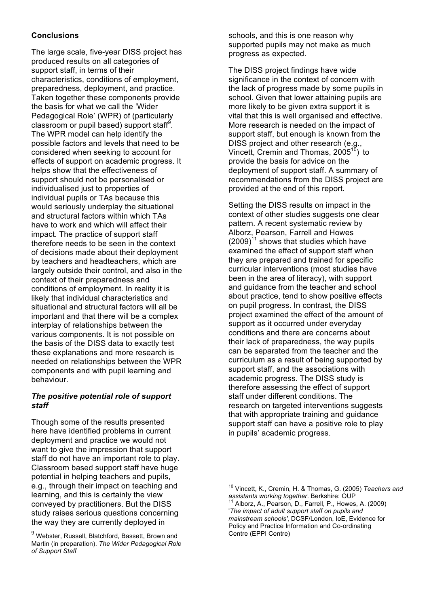## **Conclusions**

The large scale, five-year DISS project has produced results on all categories of support staff, in terms of their characteristics, conditions of employment, preparedness, deployment, and practice. Taken together these components provide the basis for what we call the 'Wider Pedagogical Role' (WPR) of (particularly classroom or pupil based) support staff $9$ . The WPR model can help identify the possible factors and levels that need to be considered when seeking to account for effects of support on academic progress. It helps show that the effectiveness of support should not be personalised or individualised just to properties of individual pupils or TAs because this would seriously underplay the situational and structural factors within which TAs have to work and which will affect their impact. The practice of support staff therefore needs to be seen in the context of decisions made about their deployment by teachers and headteachers, which are largely outside their control, and also in the context of their preparedness and conditions of employment. In reality it is likely that individual characteristics and situational and structural factors will all be important and that there will be a complex interplay of relationships between the various components. It is not possible on the basis of the DISS data to exactly test these explanations and more research is needed on relationships between the WPR components and with pupil learning and behaviour.

## *The positive potential role of support staff*

Though some of the results presented here have identified problems in current deployment and practice we would not want to give the impression that support staff do not have an important role to play. Classroom based support staff have huge potential in helping teachers and pupils, e.g., through their impact on teaching and learning, and this is certainly the view conveyed by practitioners. But the DISS study raises serious questions concerning the way they are currently deployed in

schools, and this is one reason why supported pupils may not make as much progress as expected.

The DISS project findings have wide significance in the context of concern with the lack of progress made by some pupils in school. Given that lower attaining pupils are more likely to be given extra support it is vital that this is well organised and effective. More research is needed on the impact of support staff, but enough is known from the DISS project and other research (e.g., Vincett, Cremin and Thomas,  $2005^{10}$ ) to provide the basis for advice on the deployment of support staff. A summary of recommendations from the DISS project are provided at the end of this report.

Setting the DISS results on impact in the context of other studies suggests one clear pattern. A recent systematic review by Alborz, Pearson, Farrell and Howes  $(2009)^{11}$  shows that studies which have examined the effect of support staff when they are prepared and trained for specific curricular interventions (most studies have been in the area of literacy), with support and guidance from the teacher and school about practice, tend to show positive effects on pupil progress. In contrast, the DISS project examined the effect of the amount of support as it occurred under everyday conditions and there are concerns about their lack of preparedness, the way pupils can be separated from the teacher and the curriculum as a result of being supported by support staff, and the associations with academic progress. The DISS study is therefore assessing the effect of support staff under different conditions. The research on targeted interventions suggests that with appropriate training and guidance support staff can have a positive role to play in pupils' academic progress.

 $^9$  Webster, Russell, Blatchford, Bassett, Brown and Martin (in preparation). *The Wider Pedagogical Role of Support Staff*

<sup>10</sup> Vincett, K., Cremin, H. & Thomas, G. (2005) *Teachers and assistants working together*. Berkshire: OUP 11 Alborz, A., Pearson, D., Farrell, P., Howes, A. (2009) '*The impact of adult support staff on pupils and mainstream schools'*, DCSF/London, IoE, Evidence for Policy and Practice Information and Co-ordinating Centre (EPPI Centre)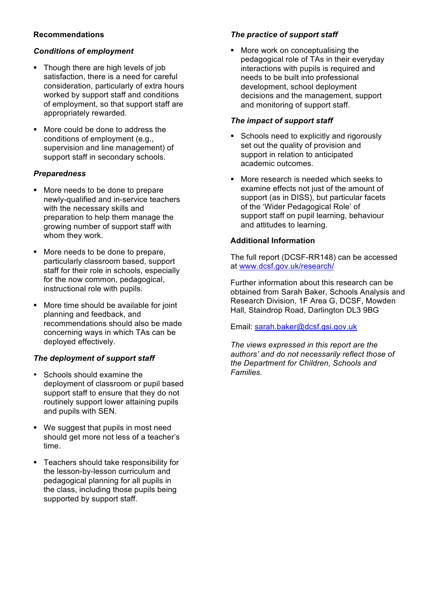# **Recommendations**

# *Conditions of employment*

- Though there are high levels of job satisfaction, there is a need for careful consideration, particularly of extra hours worked by support staff and conditions of employment, so that support staff are appropriately rewarded.
- ! More could be done to address the conditions of employment (e.g., supervision and line management) of support staff in secondary schools.

# *Preparedness*

- ! More needs to be done to prepare newly-qualified and in-service teachers with the necessary skills and preparation to help them manage the growing number of support staff with whom they work.
- ! More needs to be done to prepare, particularly classroom based, support staff for their role in schools, especially for the now common, pedagogical, instructional role with pupils.
- ! More time should be available for joint planning and feedback, and recommendations should also be made concerning ways in which TAs can be deployed effectively.

# *The deployment of support staff*

- Schools should examine the deployment of classroom or pupil based support staff to ensure that they do not routinely support lower attaining pupils and pupils with SEN.
- ! We suggest that pupils in most need should get more not less of a teacher's time.
- ! Teachers should take responsibility for the lesson-by-lesson curriculum and pedagogical planning for all pupils in the class, including those pupils being supported by support staff.

# *The practice of support staff*

! More work on conceptualising the pedagogical role of TAs in their everyday interactions with pupils is required and needs to be built into professional development, school deployment decisions and the management, support and monitoring of support staff.

## *The impact of support staff*

- **EXEC** Schools need to explicitly and rigorously set out the quality of provision and support in relation to anticipated academic outcomes.
- ! More research is needed which seeks to examine effects not just of the amount of support (as in DISS), but particular facets of the 'Wider Pedagogical Role' of support staff on pupil learning, behaviour and attitudes to learning.

## **Additional Information**

The full report (DCSF-RR148) can be accessed at www.dcsf.gov.uk/research/

Further information about this research can be obtained from Sarah Baker, Schools Analysis and Research Division, 1F Area G, DCSF, Mowden Hall, Staindrop Road, Darlington DL3 9BG

Email: sarah.baker@dcsf.gsi.gov.uk

*The views expressed in this report are the authors' and do not necessarily reflect those of the Department for Children, Schools and Families.*